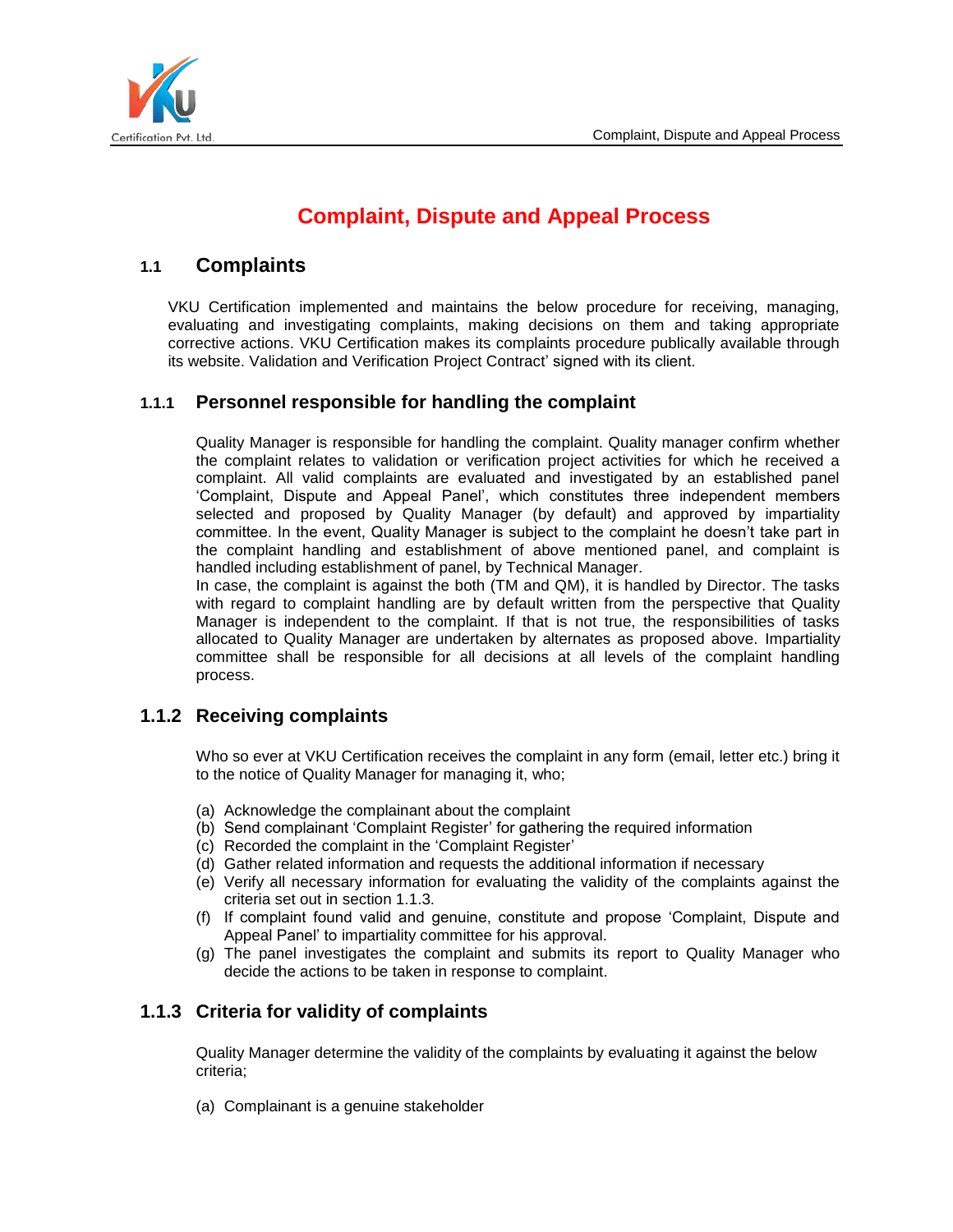

# **Complaint, Dispute and Appeal Process**

# **1.1 Complaints**

VKU Certification implemented and maintains the below procedure for receiving, managing, evaluating and investigating complaints, making decisions on them and taking appropriate corrective actions. VKU Certification makes its complaints procedure publically available through its website. Validation and Verification Project Contract' signed with its client.

# **1.1.1 Personnel responsible for handling the complaint**

Quality Manager is responsible for handling the complaint. Quality manager confirm whether the complaint relates to validation or verification project activities for which he received a complaint. All valid complaints are evaluated and investigated by an established panel 'Complaint, Dispute and Appeal Panel', which constitutes three independent members selected and proposed by Quality Manager (by default) and approved by impartiality committee. In the event, Quality Manager is subject to the complaint he doesn't take part in the complaint handling and establishment of above mentioned panel, and complaint is handled including establishment of panel, by Technical Manager.

In case, the complaint is against the both (TM and QM), it is handled by Director. The tasks with regard to complaint handling are by default written from the perspective that Quality Manager is independent to the complaint. If that is not true, the responsibilities of tasks allocated to Quality Manager are undertaken by alternates as proposed above. Impartiality committee shall be responsible for all decisions at all levels of the complaint handling process.

# **1.1.2 Receiving complaints**

Who so ever at VKU Certification receives the complaint in any form (email, letter etc.) bring it to the notice of Quality Manager for managing it, who;

- (a) Acknowledge the complainant about the complaint
- (b) Send complainant 'Complaint Register' for gathering the required information
- (c) Recorded the complaint in the 'Complaint Register'
- (d) Gather related information and requests the additional information if necessary
- (e) Verify all necessary information for evaluating the validity of the complaints against the criteria set out in section 1.1.3.
- (f) If complaint found valid and genuine, constitute and propose 'Complaint, Dispute and Appeal Panel' to impartiality committee for his approval.
- (g) The panel investigates the complaint and submits its report to Quality Manager who decide the actions to be taken in response to complaint.

# **1.1.3 Criteria for validity of complaints**

Quality Manager determine the validity of the complaints by evaluating it against the below criteria;

(a) Complainant is a genuine stakeholder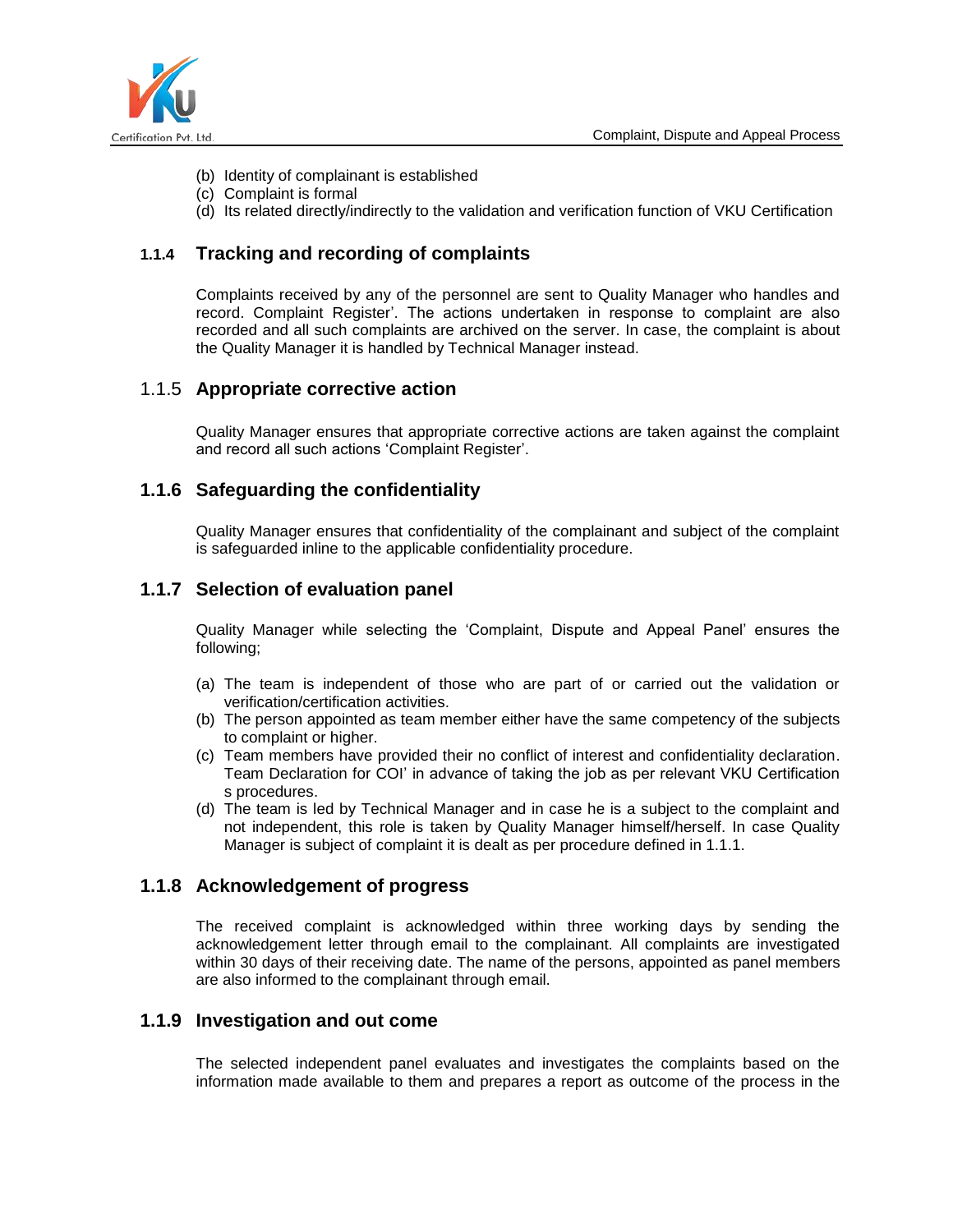

- (b) Identity of complainant is established
- (c) Complaint is formal
- (d) Its related directly/indirectly to the validation and verification function of VKU Certification

### **1.1.4 Tracking and recording of complaints**

Complaints received by any of the personnel are sent to Quality Manager who handles and record. Complaint Register'. The actions undertaken in response to complaint are also recorded and all such complaints are archived on the server. In case, the complaint is about the Quality Manager it is handled by Technical Manager instead.

### 1.1.5 **Appropriate corrective action**

Quality Manager ensures that appropriate corrective actions are taken against the complaint and record all such actions 'Complaint Register'.

### **1.1.6 Safeguarding the confidentiality**

Quality Manager ensures that confidentiality of the complainant and subject of the complaint is safeguarded inline to the applicable confidentiality procedure.

# **1.1.7 Selection of evaluation panel**

Quality Manager while selecting the 'Complaint, Dispute and Appeal Panel' ensures the following;

- (a) The team is independent of those who are part of or carried out the validation or verification/certification activities.
- (b) The person appointed as team member either have the same competency of the subjects to complaint or higher.
- (c) Team members have provided their no conflict of interest and confidentiality declaration. Team Declaration for COI' in advance of taking the job as per relevant VKU Certification s procedures.
- (d) The team is led by Technical Manager and in case he is a subject to the complaint and not independent, this role is taken by Quality Manager himself/herself. In case Quality Manager is subject of complaint it is dealt as per procedure defined in 1.1.1.

# **1.1.8 Acknowledgement of progress**

The received complaint is acknowledged within three working days by sending the acknowledgement letter through email to the complainant. All complaints are investigated within 30 days of their receiving date. The name of the persons, appointed as panel members are also informed to the complainant through email.

# **1.1.9 Investigation and out come**

The selected independent panel evaluates and investigates the complaints based on the information made available to them and prepares a report as outcome of the process in the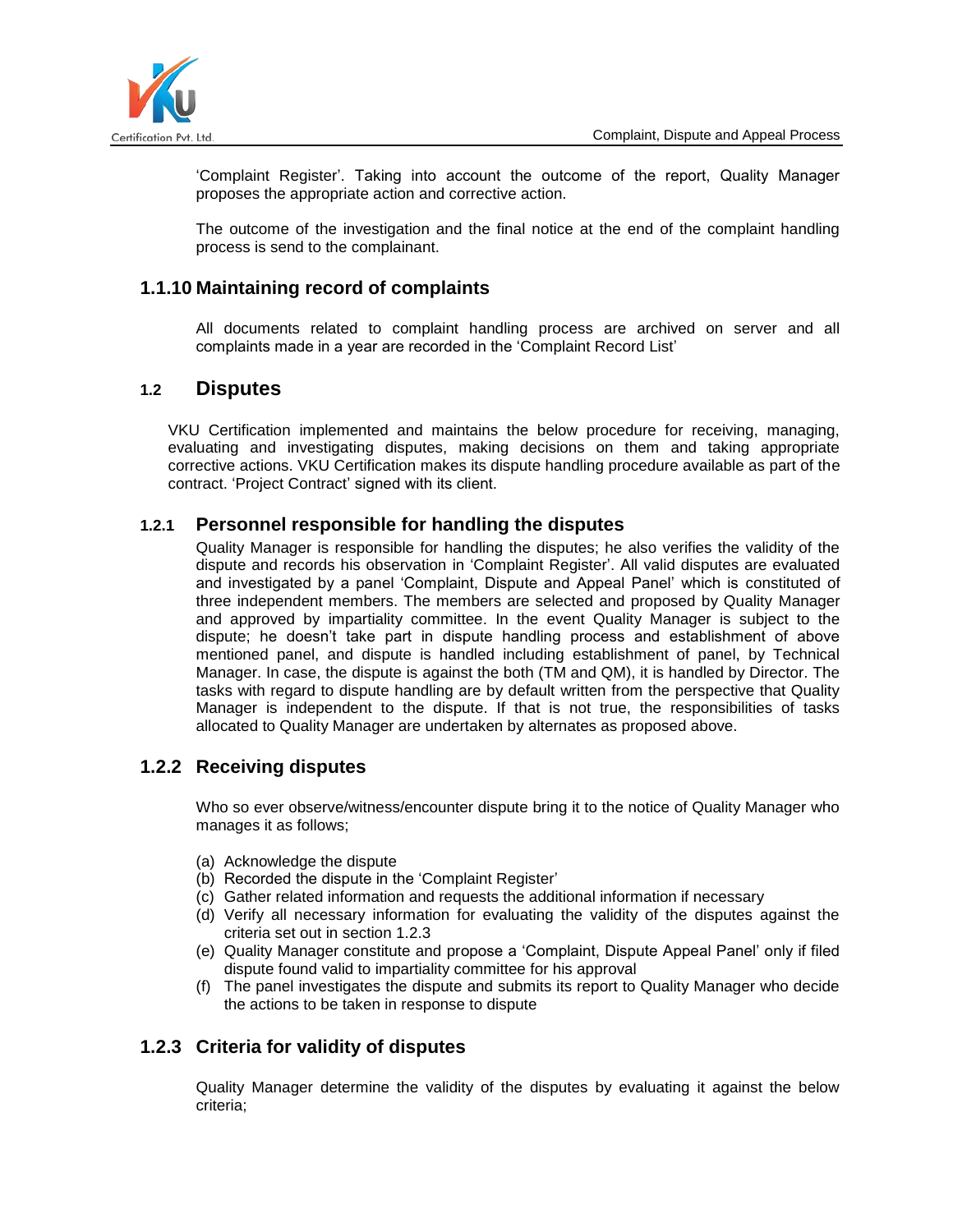

'Complaint Register'. Taking into account the outcome of the report, Quality Manager proposes the appropriate action and corrective action.

The outcome of the investigation and the final notice at the end of the complaint handling process is send to the complainant.

# **1.1.10 Maintaining record of complaints**

All documents related to complaint handling process are archived on server and all complaints made in a year are recorded in the 'Complaint Record List'

### **1.2 Disputes**

VKU Certification implemented and maintains the below procedure for receiving, managing, evaluating and investigating disputes, making decisions on them and taking appropriate corrective actions. VKU Certification makes its dispute handling procedure available as part of the contract. 'Project Contract' signed with its client.

### **1.2.1 Personnel responsible for handling the disputes**

Quality Manager is responsible for handling the disputes; he also verifies the validity of the dispute and records his observation in 'Complaint Register'. All valid disputes are evaluated and investigated by a panel 'Complaint, Dispute and Appeal Panel' which is constituted of three independent members. The members are selected and proposed by Quality Manager and approved by impartiality committee. In the event Quality Manager is subject to the dispute; he doesn't take part in dispute handling process and establishment of above mentioned panel, and dispute is handled including establishment of panel, by Technical Manager. In case, the dispute is against the both (TM and QM), it is handled by Director. The tasks with regard to dispute handling are by default written from the perspective that Quality Manager is independent to the dispute. If that is not true, the responsibilities of tasks allocated to Quality Manager are undertaken by alternates as proposed above.

### **1.2.2 Receiving disputes**

Who so ever observe/witness/encounter dispute bring it to the notice of Quality Manager who manages it as follows;

- (a) Acknowledge the dispute
- (b) Recorded the dispute in the 'Complaint Register'
- (c) Gather related information and requests the additional information if necessary
- (d) Verify all necessary information for evaluating the validity of the disputes against the criteria set out in section 1.2.3
- (e) Quality Manager constitute and propose a 'Complaint, Dispute Appeal Panel' only if filed dispute found valid to impartiality committee for his approval
- (f) The panel investigates the dispute and submits its report to Quality Manager who decide the actions to be taken in response to dispute

# **1.2.3 Criteria for validity of disputes**

Quality Manager determine the validity of the disputes by evaluating it against the below criteria;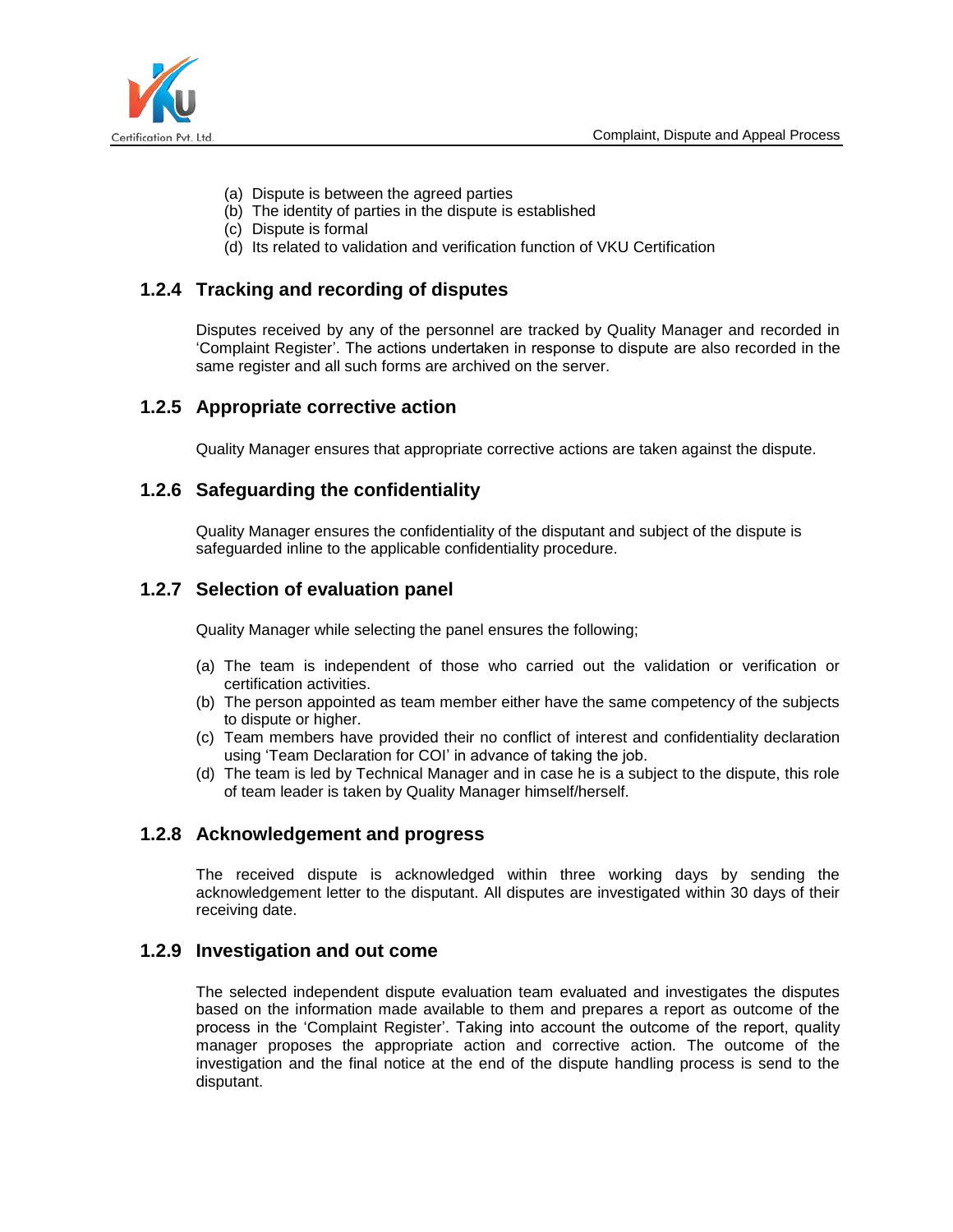

- (a) Dispute is between the agreed parties
- (b) The identity of parties in the dispute is established
- (c) Dispute is formal
- (d) Its related to validation and verification function of VKU Certification

# **1.2.4 Tracking and recording of disputes**

Disputes received by any of the personnel are tracked by Quality Manager and recorded in 'Complaint Register'. The actions undertaken in response to dispute are also recorded in the same register and all such forms are archived on the server.

### **1.2.5 Appropriate corrective action**

Quality Manager ensures that appropriate corrective actions are taken against the dispute.

#### **1.2.6 Safeguarding the confidentiality**

Quality Manager ensures the confidentiality of the disputant and subject of the dispute is safeguarded inline to the applicable confidentiality procedure.

### **1.2.7 Selection of evaluation panel**

Quality Manager while selecting the panel ensures the following;

- (a) The team is independent of those who carried out the validation or verification or certification activities.
- (b) The person appointed as team member either have the same competency of the subjects to dispute or higher.
- (c) Team members have provided their no conflict of interest and confidentiality declaration using 'Team Declaration for COI' in advance of taking the job.
- (d) The team is led by Technical Manager and in case he is a subject to the dispute, this role of team leader is taken by Quality Manager himself/herself.

### **1.2.8 Acknowledgement and progress**

The received dispute is acknowledged within three working days by sending the acknowledgement letter to the disputant. All disputes are investigated within 30 days of their receiving date.

#### **1.2.9 Investigation and out come**

The selected independent dispute evaluation team evaluated and investigates the disputes based on the information made available to them and prepares a report as outcome of the process in the 'Complaint Register'. Taking into account the outcome of the report, quality manager proposes the appropriate action and corrective action. The outcome of the investigation and the final notice at the end of the dispute handling process is send to the disputant.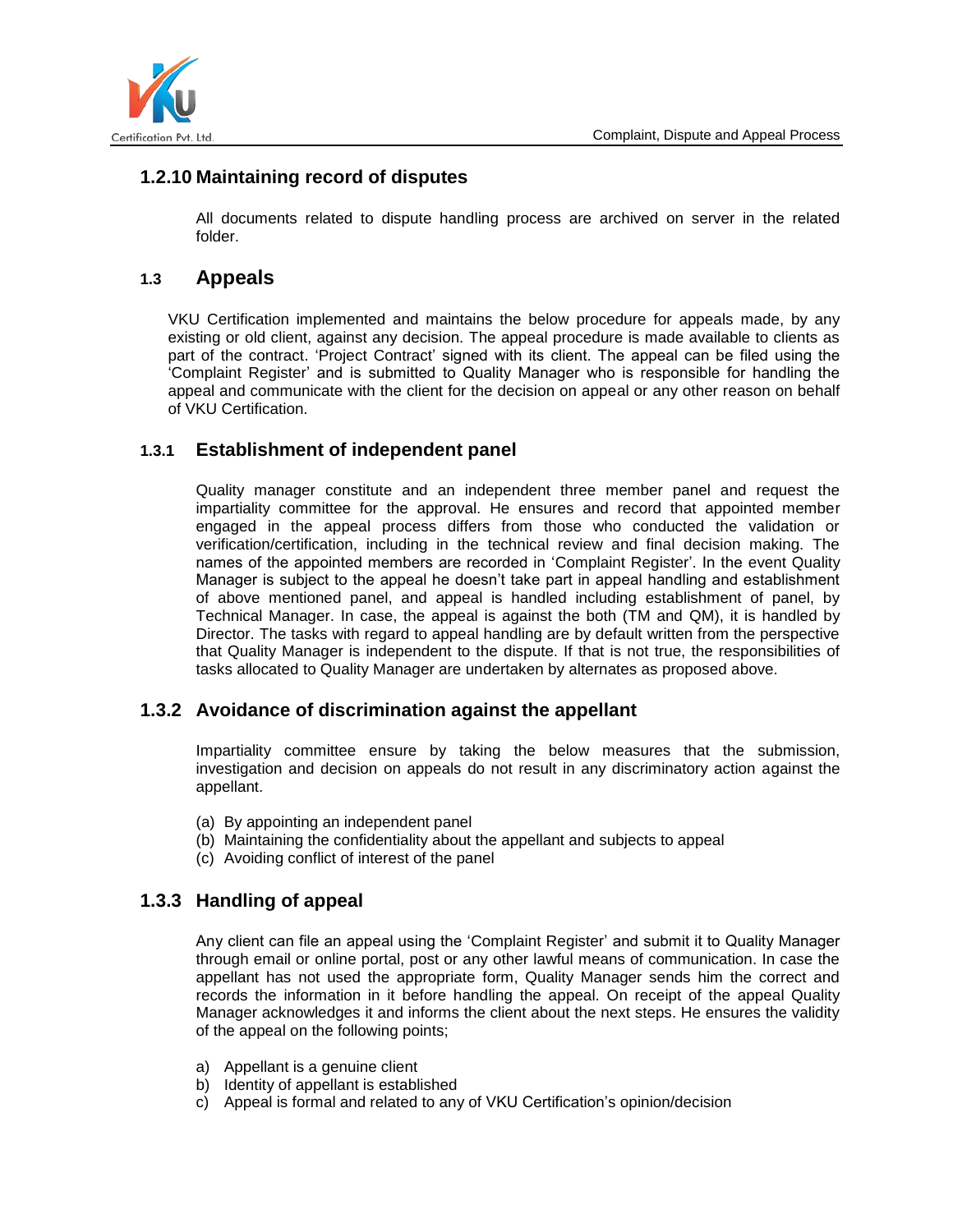

# **1.2.10 Maintaining record of disputes**

All documents related to dispute handling process are archived on server in the related folder.

# **1.3 Appeals**

VKU Certification implemented and maintains the below procedure for appeals made, by any existing or old client, against any decision. The appeal procedure is made available to clients as part of the contract. 'Project Contract' signed with its client. The appeal can be filed using the 'Complaint Register' and is submitted to Quality Manager who is responsible for handling the appeal and communicate with the client for the decision on appeal or any other reason on behalf of VKU Certification.

# **1.3.1 Establishment of independent panel**

Quality manager constitute and an independent three member panel and request the impartiality committee for the approval. He ensures and record that appointed member engaged in the appeal process differs from those who conducted the validation or verification/certification, including in the technical review and final decision making. The names of the appointed members are recorded in 'Complaint Register'. In the event Quality Manager is subject to the appeal he doesn't take part in appeal handling and establishment of above mentioned panel, and appeal is handled including establishment of panel, by Technical Manager. In case, the appeal is against the both (TM and QM), it is handled by Director. The tasks with regard to appeal handling are by default written from the perspective that Quality Manager is independent to the dispute. If that is not true, the responsibilities of tasks allocated to Quality Manager are undertaken by alternates as proposed above.

### **1.3.2 Avoidance of discrimination against the appellant**

Impartiality committee ensure by taking the below measures that the submission, investigation and decision on appeals do not result in any discriminatory action against the appellant.

- (a) By appointing an independent panel
- (b) Maintaining the confidentiality about the appellant and subjects to appeal
- (c) Avoiding conflict of interest of the panel

# **1.3.3 Handling of appeal**

Any client can file an appeal using the 'Complaint Register' and submit it to Quality Manager through email or online portal, post or any other lawful means of communication. In case the appellant has not used the appropriate form, Quality Manager sends him the correct and records the information in it before handling the appeal. On receipt of the appeal Quality Manager acknowledges it and informs the client about the next steps. He ensures the validity of the appeal on the following points;

- a) Appellant is a genuine client
- b) Identity of appellant is established
- c) Appeal is formal and related to any of VKU Certification's opinion/decision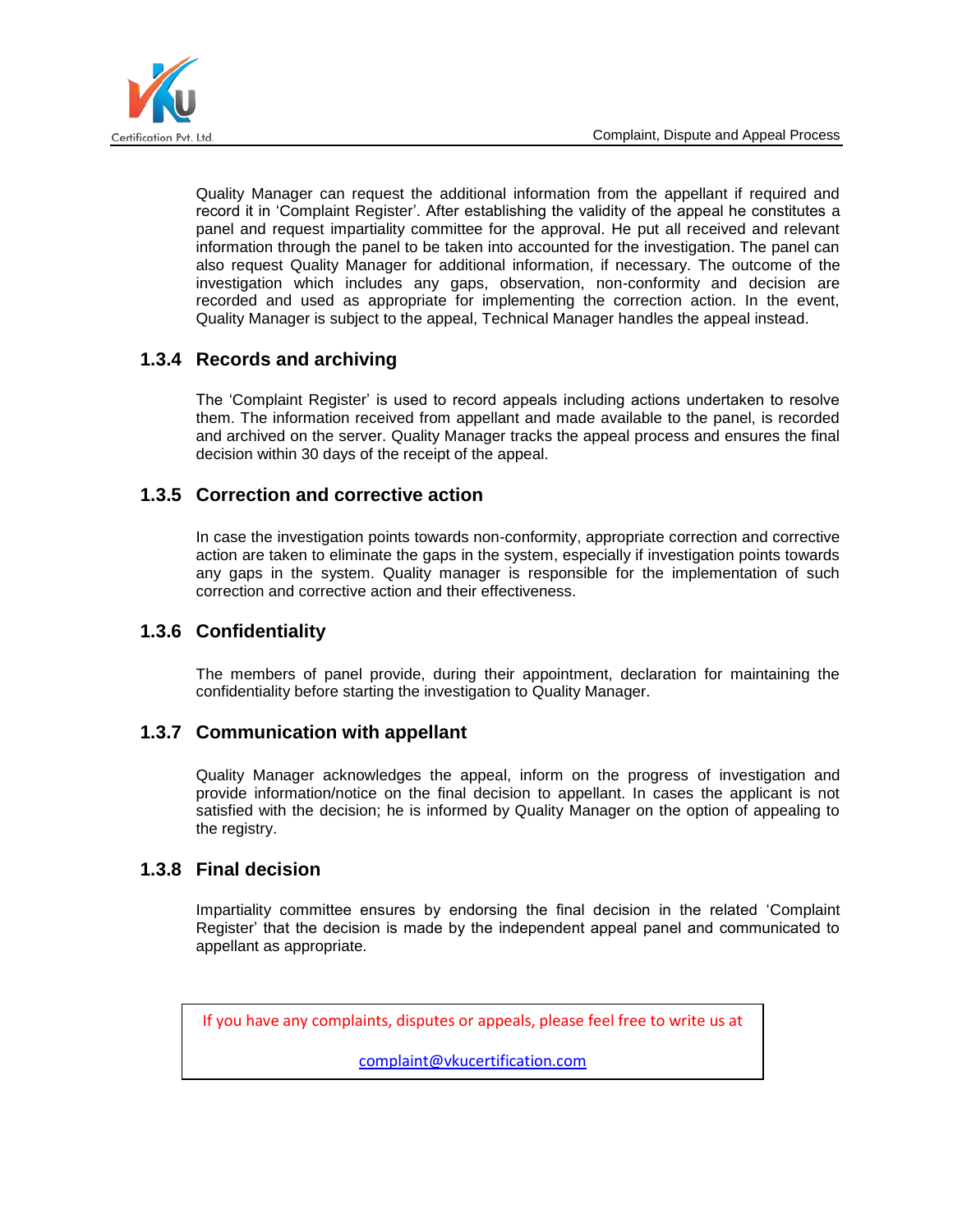

Quality Manager can request the additional information from the appellant if required and record it in 'Complaint Register'. After establishing the validity of the appeal he constitutes a panel and request impartiality committee for the approval. He put all received and relevant information through the panel to be taken into accounted for the investigation. The panel can also request Quality Manager for additional information, if necessary. The outcome of the investigation which includes any gaps, observation, non-conformity and decision are recorded and used as appropriate for implementing the correction action. In the event, Quality Manager is subject to the appeal, Technical Manager handles the appeal instead.

# **1.3.4 Records and archiving**

The 'Complaint Register' is used to record appeals including actions undertaken to resolve them. The information received from appellant and made available to the panel, is recorded and archived on the server. Quality Manager tracks the appeal process and ensures the final decision within 30 days of the receipt of the appeal.

# **1.3.5 Correction and corrective action**

In case the investigation points towards non-conformity, appropriate correction and corrective action are taken to eliminate the gaps in the system, especially if investigation points towards any gaps in the system. Quality manager is responsible for the implementation of such correction and corrective action and their effectiveness.

# **1.3.6 Confidentiality**

The members of panel provide, during their appointment, declaration for maintaining the confidentiality before starting the investigation to Quality Manager.

### **1.3.7 Communication with appellant**

Quality Manager acknowledges the appeal, inform on the progress of investigation and provide information/notice on the final decision to appellant. In cases the applicant is not satisfied with the decision; he is informed by Quality Manager on the option of appealing to the registry.

### **1.3.8 Final decision**

Impartiality committee ensures by endorsing the final decision in the related 'Complaint Register' that the decision is made by the independent appeal panel and communicated to appellant as appropriate.

If you have any complaints, disputes or appeals, please feel free to write us at

[complaint@vkucertification.com](mailto:complaint@vkucertification.com)